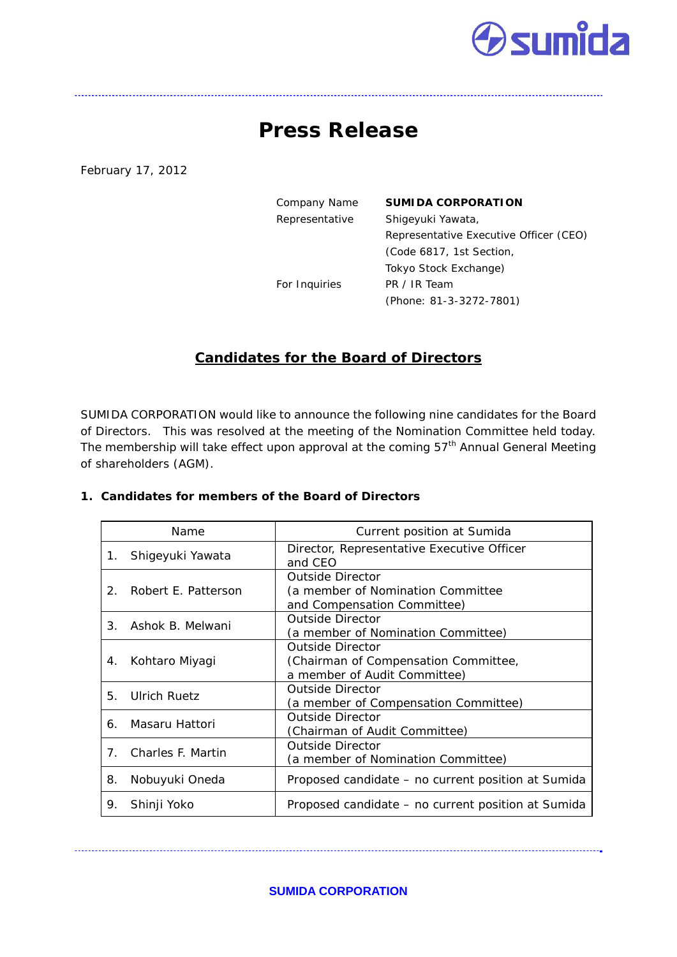# **dumida**

## **Press Release**

February 17, 2012

| Company Name   | <b>SUMIDA CORPORATION</b>              |
|----------------|----------------------------------------|
| Representative | Shigeyuki Yawata,                      |
|                | Representative Executive Officer (CEO) |
|                | (Code 6817, 1st Section,               |
|                | Tokyo Stock Exchange)                  |
| For Inquiries  | PR / IR Team                           |
|                | (Phone: 81-3-3272-7801)                |
|                |                                        |

### **Candidates for the Board of Directors**

SUMIDA CORPORATION would like to announce the following nine candidates for the Board of Directors. This was resolved at the meeting of the Nomination Committee held today. The membership will take effect upon approval at the coming 57<sup>th</sup> Annual General Meeting of shareholders (AGM).

#### Name  $\vert$  Current position at Sumida 1. Shigeyuki Yawata | Director, Representative Executive Officer and CEO 2. Robert E. Patterson Outside Director (a member of Nomination Committee and Compensation Committee) 3. Ashok B. Melwani Outside Director (a member of Nomination Committee) 4. Kohtaro Miyagi Outside Director (Chairman of Compensation Committee, a member of Audit Committee) 5. Ulrich Ruetz Outside Director (a member of Compensation Committee) 6. Masaru Hattori Outside Director (Chairman of Audit Committee) 7. Charles F. Martin **Outside Director** (a member of Nomination Committee) 8. Nobuyuki Oneda Proposed candidate – no current position at Sumida 9. Shinji Yoko | Proposed candidate – no current position at Sumida

#### **1. Candidates for members of the Board of Directors**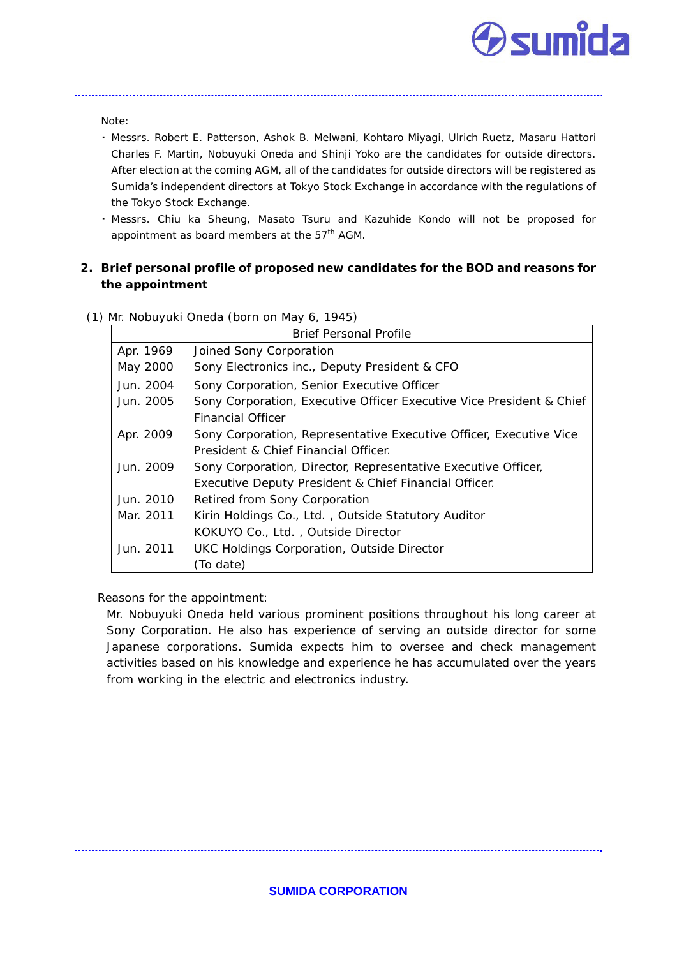

Note:

・ Messrs. Robert E. Patterson, Ashok B. Melwani, Kohtaro Miyagi, Ulrich Ruetz, Masaru Hattori Charles F. Martin, Nobuyuki Oneda and Shinji Yoko are the candidates for outside directors. After election at the coming AGM, all of the candidates for outside directors will be registered as Sumida's independent directors at Tokyo Stock Exchange in accordance with the regulations of the Tokyo Stock Exchange.

・ Messrs. Chiu ka Sheung, Masato Tsuru and Kazuhide Kondo will not be proposed for appointment as board members at the  $57<sup>th</sup>$  AGM.

#### **2. Brief personal profile of proposed new candidates for the BOD and reasons for the appointment**

|           | <b>Brief Personal Profile</b>                                        |
|-----------|----------------------------------------------------------------------|
| Apr. 1969 | Joined Sony Corporation                                              |
| May 2000  | Sony Electronics inc., Deputy President & CFO                        |
| Jun. 2004 | Sony Corporation, Senior Executive Officer                           |
| Jun. 2005 | Sony Corporation, Executive Officer Executive Vice President & Chief |
|           | <b>Financial Officer</b>                                             |
| Apr. 2009 | Sony Corporation, Representative Executive Officer, Executive Vice   |
|           | President & Chief Financial Officer.                                 |
| Jun. 2009 | Sony Corporation, Director, Representative Executive Officer,        |
|           | Executive Deputy President & Chief Financial Officer.                |
| Jun. 2010 | Retired from Sony Corporation                                        |
| Mar. 2011 | Kirin Holdings Co., Ltd., Outside Statutory Auditor                  |
|           | KOKUYO Co., Ltd., Outside Director                                   |
| Jun. 2011 | <b>UKC Holdings Corporation, Outside Director</b>                    |
|           | (To date)                                                            |

(1) Mr. Nobuyuki Oneda (born on May 6, 1945)

Reasons for the appointment:

Mr. Nobuyuki Oneda held various prominent positions throughout his long career at Sony Corporation. He also has experience of serving an outside director for some Japanese corporations. Sumida expects him to oversee and check management activities based on his knowledge and experience he has accumulated over the years from working in the electric and electronics industry.